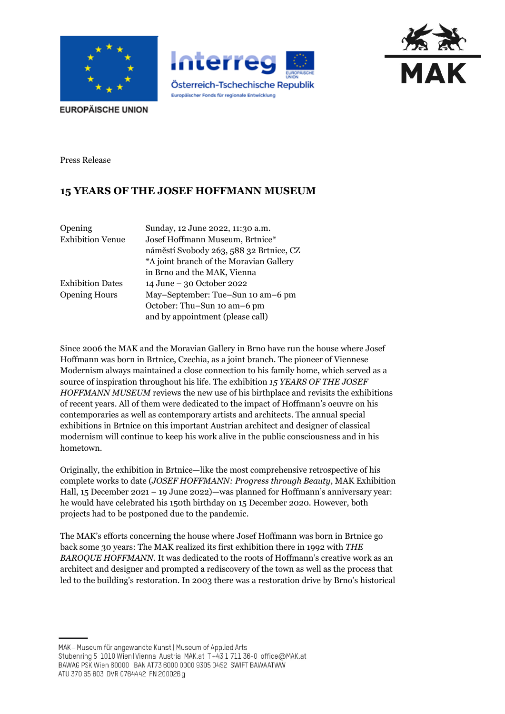





**EUROPÄISCHE UNION** 

Press Release

## **15 YEARS OF THE JOSEF HOFFMANN MUSEUM**

| Opening                 | Sunday, 12 June 2022, 11:30 a.m.        |
|-------------------------|-----------------------------------------|
| <b>Exhibition Venue</b> | Josef Hoffmann Museum, Brtnice*         |
|                         | náměstí Svobody 263, 588 32 Brtnice, CZ |
|                         | *A joint branch of the Moravian Gallery |
|                         | in Brno and the MAK, Vienna             |
| <b>Exhibition Dates</b> | 14 June – 30 October 2022               |
| <b>Opening Hours</b>    | May-September: Tue-Sun 10 am-6 pm       |
|                         | October: Thu-Sun 10 am-6 pm             |
|                         | and by appointment (please call)        |

Since 2006 the MAK and the Moravian Gallery in Brno have run the house where Josef Hoffmann was born in Brtnice, Czechia, as a joint branch. The pioneer of Viennese Modernism always maintained a close connection to his family home, which served as a source of inspiration throughout his life. The exhibition *15 YEARS OF THE JOSEF HOFFMANN MUSEUM* reviews the new use of his birthplace and revisits the exhibitions of recent years. All of them were dedicated to the impact of Hoffmann's oeuvre on his contemporaries as well as contemporary artists and architects. The annual special exhibitions in Brtnice on this important Austrian architect and designer of classical modernism will continue to keep his work alive in the public consciousness and in his hometown.

Originally, the exhibition in Brtnice—like the most comprehensive retrospective of his complete works to date (*JOSEF HOFFMANN: Progress through Beauty*, MAK Exhibition Hall, 15 December 2021 – 19 June 2022)—was planned for Hoffmann's anniversary year: he would have celebrated his 150th birthday on 15 December 2020. However, both projects had to be postponed due to the pandemic.

The MAK's efforts concerning the house where Josef Hoffmann was born in Brtnice go back some 30 years: The MAK realized its first exhibition there in 1992 with *THE BAROQUE HOFFMANN*. It was dedicated to the roots of Hoffmann's creative work as an architect and designer and prompted a rediscovery of the town as well as the process that led to the building's restoration. In 2003 there was a restoration drive by Brno's historical

MAK - Museum für angewandte Kunst | Museum of Applied Arts Stubenring 5 1010 Wien | Vienna Austria MAK.at T+43 1 711 36-0 office@MAK.at BAWAG PSK Wien 60000 IBAN AT73 6000 0000 9305 0452 SWIFT BAWAATWW ATU 370 65 803 DVR 0764442 FN 200026 g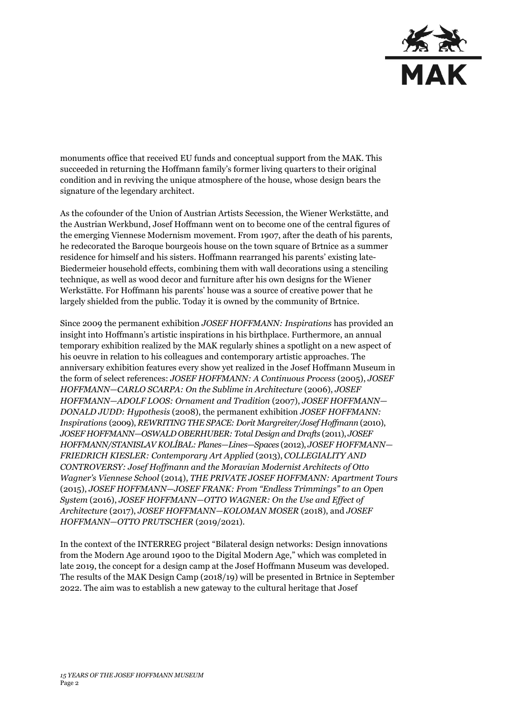

monuments office that received EU funds and conceptual support from the MAK. This succeeded in returning the Hoffmann family's former living quarters to their original condition and in reviving the unique atmosphere of the house, whose design bears the signature of the legendary architect.

As the cofounder of the Union of Austrian Artists Secession, the Wiener Werkstätte, and the Austrian Werkbund, Josef Hoffmann went on to become one of the central figures of the emerging Viennese Modernism movement. From 1907, after the death of his parents, he redecorated the Baroque bourgeois house on the town square of Brtnice as a summer residence for himself and his sisters. Hoffmann rearranged his parents' existing late-Biedermeier household effects, combining them with wall decorations using a stenciling technique, as well as wood decor and furniture after his own designs for the Wiener Werkstätte. For Hoffmann his parents' house was a source of creative power that he largely shielded from the public. Today it is owned by the community of Brtnice.

Since 2009 the permanent exhibition *JOSEF HOFFMANN: Inspirations* has provided an insight into Hoffmann's artistic inspirations in his birthplace. Furthermore, an annual temporary exhibition realized by the MAK regularly shines a spotlight on a new aspect of his oeuvre in relation to his colleagues and contemporary artistic approaches. The anniversary exhibition features every show yet realized in the Josef Hoffmann Museum in the form of select references: *JOSEF HOFFMANN: A Continuous Process* (2005), *JOSEF HOFFMANN—CARLO SCARPA: On the Sublime in Architecture* (2006), *JOSEF HOFFMANN—ADOLF LOOS: Ornament and Tradition* (2007), *JOSEF HOFFMANN— DONALD JUDD: Hypothesis* (2008), the permanent exhibition *JOSEF HOFFMANN: Inspirations* (2009), *REWRITING THE SPACE: Dorit Margreiter/Josef Hoffmann* (2010), *JOSEF HOFFMANN—OSWALD OBERHUBER: Total Design and Drafts* (2011), *JOSEF HOFFMANN/STANISLAV KOLÍBAL: Planes—Lines—Spaces* (2012), *JOSEF HOFFMANN— FRIEDRICH KIESLER: Contemporary Art Applied* (2013), *COLLEGIALITY AND CONTROVERSY: Josef Hoffmann and the Moravian Modernist Architects of Otto Wagner's Viennese School* (2014), *THE PRIVATE JOSEF HOFFMANN: Apartment Tours* (2015), *JOSEF HOFFMANN—JOSEF FRANK: From "Endless Trimmings" to an Open System* (2016), *JOSEF HOFFMANN—OTTO WAGNER: On the Use and Effect of Architecture* (2017), *JOSEF HOFFMANN—KOLOMAN MOSER* (2018), and *JOSEF HOFFMANN—OTTO PRUTSCHER* (2019/2021).

In the context of the INTERREG project "Bilateral design networks: Design innovations from the Modern Age around 1900 to the Digital Modern Age," which was completed in late 2019, the concept for a design camp at the Josef Hoffmann Museum was developed. The results of the MAK Design Camp (2018/19) will be presented in Brtnice in September 2022. The aim was to establish a new gateway to the cultural heritage that Josef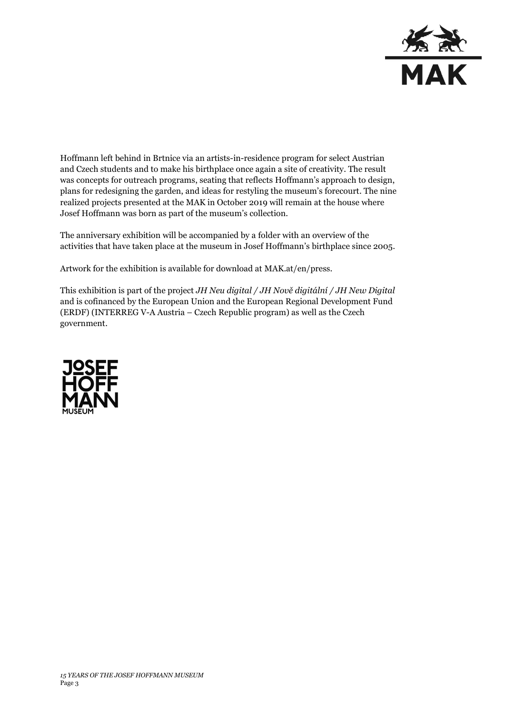

Hoffmann left behind in Brtnice via an artists-in-residence program for select Austrian and Czech students and to make his birthplace once again a site of creativity. The result was concepts for outreach programs, seating that reflects Hoffmann's approach to design, plans for redesigning the garden, and ideas for restyling the museum's forecourt. The nine realized projects presented at the MAK in October 2019 will remain at the house where Josef Hoffmann was born as part of the museum's collection.

The anniversary exhibition will be accompanied by a folder with an overview of the activities that have taken place at the museum in Josef Hoffmann's birthplace since 2005.

Artwork for the exhibition is available for download at MAK.at/en/press.

This exhibition is part of the project *JH Neu digital / JH Nově digitální / JH New Digital* and is cofinanced by the European Union and the European Regional Development Fund (ERDF) (INTERREG V-A Austria – Czech Republic program) as well as the Czech government.